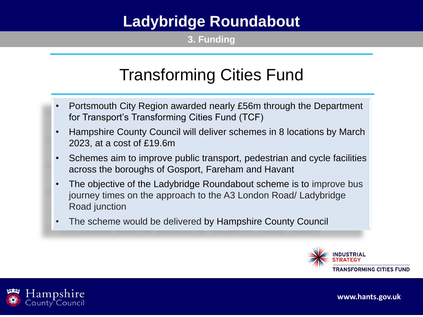**3. Funding**

# Transforming Cities Fund

- Portsmouth City Region awarded nearly £56m through the Department for Transport's Transforming Cities Fund (TCF)
- Hampshire County Council will deliver schemes in 8 locations by March 2023, at a cost of £19.6m
- Schemes aim to improve public transport, pedestrian and cycle facilities across the boroughs of Gosport, Fareham and Havant
- The objective of the Ladybridge Roundabout scheme is to improve bus journey times on the approach to the A3 London Road/ Ladybridge Road junction
- The scheme would be delivered by Hampshire County Council



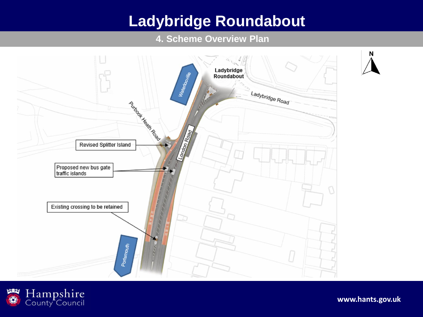#### **4. Scheme Overview Plan**



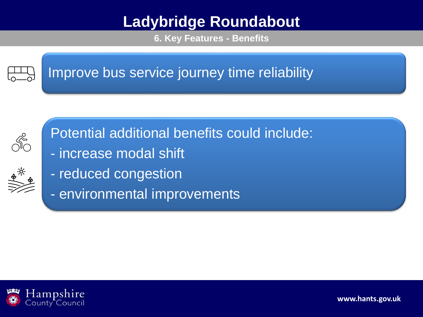**6. Key Features - Benefits**



### Improve bus service journey time reliability



Potential additional benefits could include:

- increase modal shift
- reduced congestion
- environmental improvements

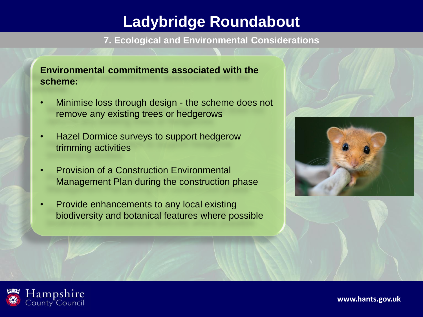**7. Ecological and Environmental Considerations**

### **Environmental commitments associated with the scheme:**

- Minimise loss through design the scheme does not remove any existing trees or hedgerows
- Hazel Dormice surveys to support hedgerow trimming activities
- Provision of a Construction Environmental Management Plan during the construction phase
- Provide enhancements to any local existing biodiversity and botanical features where possible





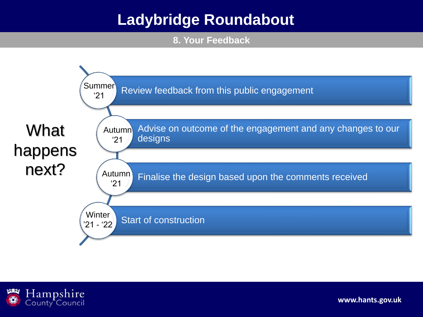**8. Your Feedback**